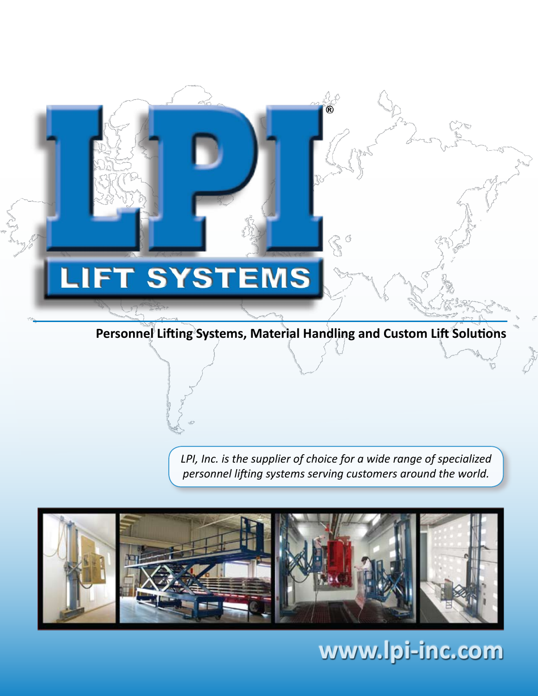## **.IFT SYSTEMS** I

## **Personnel Lifting Systems, Material Handling and Custom Lift Solutions**

*LPI, Inc. is the supplier of choice for a wide range of specialized personnel lifting systems serving customers around the world.*



**www.lpi-inc.com**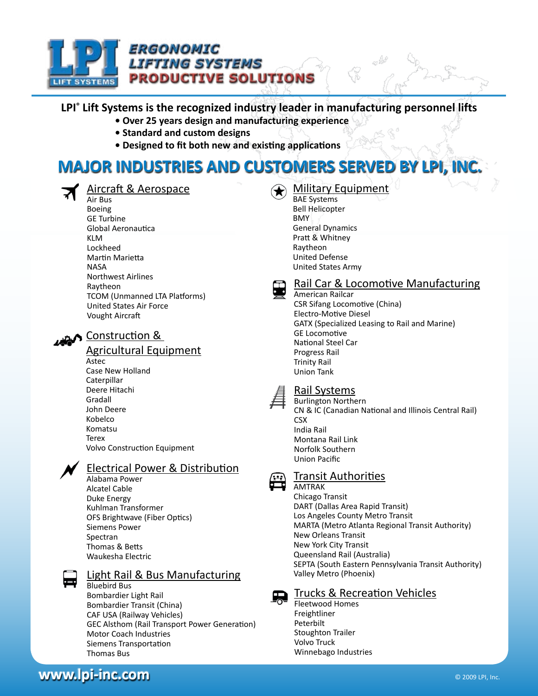

## **LPI® Lift Systems is the recognized industry leader in manufacturing personnel lifts**

- **Over 25 years design and manufacturing experience**
- **Standard and custom designs**
- **Designed to fit both new and existing applications**

# **MAJOR INDUSTRIES AND CUSTOMERS SERVED BY LPI, INC.**



## Aircraft & Aerospace

Air Bus Boeing GE Turbine Global Aeronautica KLM Lockheed Martin Marietta **NASA** Northwest Airlines Raytheon TCOM (Unmanned LTA Platforms) United States Air Force Vought Aircraft

## **Construction &**

## Agricultural Equipment

Astec Case New Holland Caterpillar Deere Hitachi Gradall John Deere Kobelco Komatsu **Terex** Volvo Construction Equipment

## Electrical Power & Distribution

Alabama Power Alcatel Cable Duke Energy Kuhlman Transformer OFS Brightwave (Fiber Optics) Siemens Power Spectran Thomas & Betts Waukesha Electric

#### Light Rail & Bus Manufacturing Bluebird Bus

Bombardier Light Rail Bombardier Transit (China) CAF USA (Railway Vehicles) GEC Alsthom (Rail Transport Power Generation) Motor Coach Industries Siemens Transportation Thomas Bus

## Military Equipment

BAE Systems Bell Helicopter BMY General Dynamics Pratt & Whitney Raytheon United Defense United States Army



## Rail Car & Locomotive Manufacturing

American Railcar CSR Sifang Locomotive (China) Electro-Motive Diesel GATX (Specialized Leasing to Rail and Marine) GE Locomotive National Steel Car Progress Rail Trinity Rail Union Tank



### Rail Systems

Burlington Northern CN & IC (Canadian National and Illinois Central Rail) **CSX** India Rail Montana Rail Link Norfolk Southern Union Pacific

## Transit Authorities

AMTRAK

Chicago Transit DART (Dallas Area Rapid Transit) Los Angeles County Metro Transit MARTA (Metro Atlanta Regional Transit Authority) New Orleans Transit New York City Transit Queensland Rail (Australia) SEPTA (South Eastern Pennsylvania Transit Authority) Valley Metro (Phoenix)

Trucks & Recreation Vehicles

Fleetwood Homes Freightliner Peterbilt Stoughton Trailer Volvo Truck Winnebago Industries

**www.lpi-inc.com** © 2009 LPI, Inc.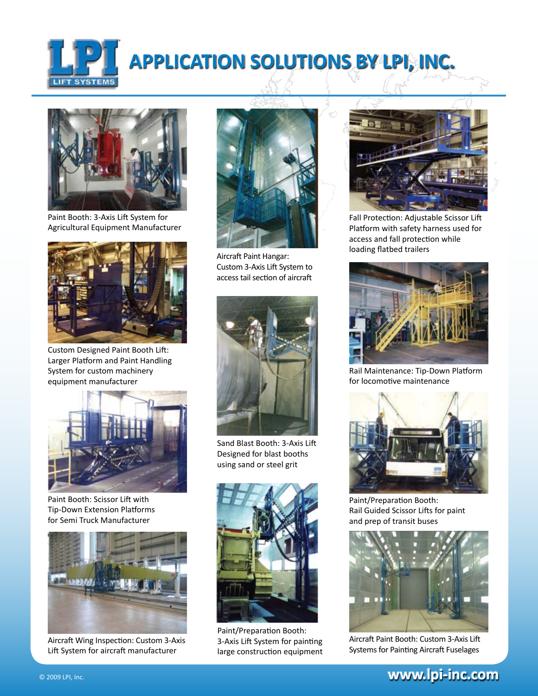

# **APPLICATION SOLUTIONS BY LPI, INC.**



Paint Booth: 3-Axis Lift System for Agricultural Equipment Manufacturer



Custom Designed Paint Booth Lift: Larger Platform and Paint Handling System for custom machinery equipment manufacturer



Paint Booth: Scissor Lift with Tip-Down Extension Platforms for Semi Truck Manufacturer



Aircraft Wing Inspection: Custom 3-Axis Lift System for aircraft manufacturer



Aircraft Paint Hangar: Custom 3-Axis Lift System to access tail section of aircraft



Sand Blast Booth: 3-Axis Lift Designed for blast booths using sand or steel grit



Paint/Preparation Booth: 3-Axis Lift System for painting large construction equipment



Fall Protection: Adjustable Scissor Lift Platform with safety harness used for access and fall protection while loading flatbed trailers



Rail Maintenance: Tip-Down Platform for locomotive maintenance



Paint/Preparation Booth: Rail Guided Scissor Lifts for paint and prep of transit buses



Aircraft Paint Booth: Custom 3-Axis Lift Systems for Painting Aircraft Fuselages